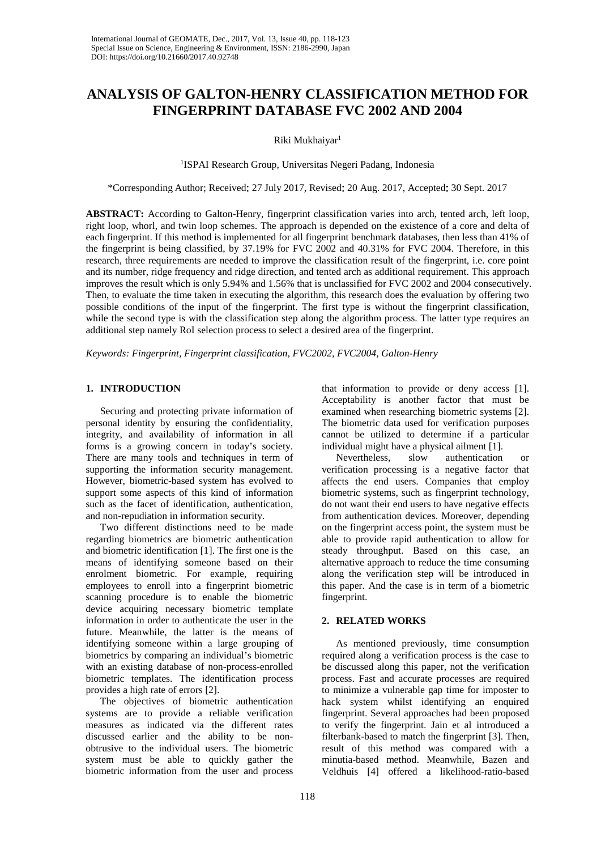# **ANALYSIS OF GALTON-HENRY CLASSIFICATION METHOD FOR FINGERPRINT DATABASE FVC 2002 AND 2004**

Riki Mukhaiyar<sup>1</sup>

1 ISPAI Research Group, Universitas Negeri Padang, Indonesia

\*Corresponding Author; Received: 27 July 2017, Revised: 20 Aug. 2017, Accepted: 30 Sept. 2017

**ABSTRACT:** According to Galton-Henry, fingerprint classification varies into arch, tented arch, left loop, right loop, whorl, and twin loop schemes. The approach is depended on the existence of a core and delta of each fingerprint. If this method is implemented for all fingerprint benchmark databases, then less than 41% of the fingerprint is being classified, by 37.19% for FVC 2002 and 40.31% for FVC 2004. Therefore, in this research, three requirements are needed to improve the classification result of the fingerprint, i.e. core point and its number, ridge frequency and ridge direction, and tented arch as additional requirement. This approach improves the result which is only 5.94% and 1.56% that is unclassified for FVC 2002 and 2004 consecutively. Then, to evaluate the time taken in executing the algorithm, this research does the evaluation by offering two possible conditions of the input of the fingerprint. The first type is without the fingerprint classification, while the second type is with the classification step along the algorithm process. The latter type requires an additional step namely RoI selection process to select a desired area of the fingerprint.

*Keywords: Fingerprint, Fingerprint classification, FVC2002, FVC2004, Galton-Henry*

## **1. INTRODUCTION**

Securing and protecting private information of personal identity by ensuring the confidentiality, integrity, and availability of information in all forms is a growing concern in today's society. There are many tools and techniques in term of supporting the information security management. However, biometric-based system has evolved to support some aspects of this kind of information such as the facet of identification, authentication, and non-repudiation in information security.

Two different distinctions need to be made regarding biometrics are biometric authentication and biometric identification [1]. The first one is the means of identifying someone based on their enrolment biometric. For example, requiring employees to enroll into a fingerprint biometric scanning procedure is to enable the biometric device acquiring necessary biometric template information in order to authenticate the user in the future. Meanwhile, the latter is the means of identifying someone within a large grouping of biometrics by comparing an individual's biometric with an existing database of non-process-enrolled biometric templates. The identification process provides a high rate of errors [2].

The objectives of biometric authentication systems are to provide a reliable verification measures as indicated via the different rates discussed earlier and the ability to be nonobtrusive to the individual users. The biometric system must be able to quickly gather the biometric information from the user and process

that information to provide or deny access [1]. Acceptability is another factor that must be examined when researching biometric systems [2]. The biometric data used for verification purposes cannot be utilized to determine if a particular individual might have a physical ailment [1].<br>Nevertheless. slow authentication

Nevertheless, slow authentication or verification processing is a negative factor that affects the end users. Companies that employ biometric systems, such as fingerprint technology, do not want their end users to have negative effects from authentication devices. Moreover, depending on the fingerprint access point, the system must be able to provide rapid authentication to allow for steady throughput. Based on this case, an alternative approach to reduce the time consuming along the verification step will be introduced in this paper. And the case is in term of a biometric fingerprint.

## **2. RELATED WORKS**

As mentioned previously, time consumption required along a verification process is the case to be discussed along this paper, not the verification process. Fast and accurate processes are required to minimize a vulnerable gap time for imposter to hack system whilst identifying an enquired fingerprint. Several approaches had been proposed to verify the fingerprint. Jain et al introduced a filterbank-based to match the fingerprint [3]. Then, result of this method was compared with a minutia-based method. Meanwhile, Bazen and Veldhuis [4] offered a likelihood-ratio-based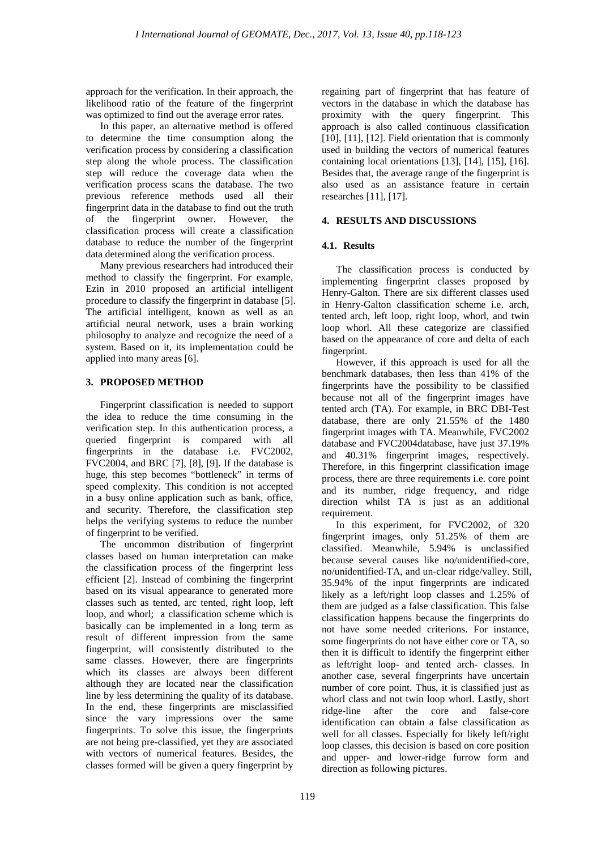approach for the verification. In their approach, the likelihood ratio of the feature of the fingerprint was optimized to find out the average error rates.

In this paper, an alternative method is offered to determine the time consumption along the verification process by considering a classification step along the whole process. The classification step will reduce the coverage data when the verification process scans the database. The two previous reference methods used all their fingerprint data in the database to find out the truth of the fingerprint owner. However, the classification process will create a classification database to reduce the number of the fingerprint data determined along the verification process.

Many previous researchers had introduced their method to classify the fingerprint. For example, Ezin in 2010 proposed an artificial intelligent procedure to classify the fingerprint in database [5]. The artificial intelligent, known as well as an artificial neural network, uses a brain working philosophy to analyze and recognize the need of a system. Based on it, its implementation could be applied into many areas [6].

# **3. PROPOSED METHOD**

Fingerprint classification is needed to support the idea to reduce the time consuming in the verification step. In this authentication process, a queried fingerprint is compared with all fingerprints in the database i.e. FVC2002, FVC2004, and BRC [7], [8], [9]. If the database is huge, this step becomes "bottleneck" in terms of speed complexity. This condition is not accepted in a busy online application such as bank, office, and security. Therefore, the classification step helps the verifying systems to reduce the number of fingerprint to be verified.

The uncommon distribution of fingerprint classes based on human interpretation can make the classification process of the fingerprint less efficient [2]. Instead of combining the fingerprint based on its visual appearance to generated more classes such as tented, arc tented, right loop, left loop, and whorl; a classification scheme which is basically can be implemented in a long term as result of different impression from the same fingerprint, will consistently distributed to the same classes. However, there are fingerprints which its classes are always been different although they are located near the classification line by less determining the quality of its database. In the end, these fingerprints are misclassified since the vary impressions over the same fingerprints. To solve this issue, the fingerprints are not being pre-classified, yet they are associated with vectors of numerical features. Besides, the classes formed will be given a query fingerprint by

regaining part of fingerprint that has feature of vectors in the database in which the database has proximity with the query fingerprint. This approach is also called continuous classification [10], [11], [12]. Field orientation that is commonly used in building the vectors of numerical features containing local orientations [13], [14], [15], [16]. Besides that, the average range of the fingerprint is also used as an assistance feature in certain researches [11], [17].

## **4. RESULTS AND DISCUSSIONS**

## **4.1. Results**

The classification process is conducted by implementing fingerprint classes proposed by Henry-Galton. There are six different classes used in Henry-Galton classification scheme i.e. arch, tented arch, left loop, right loop, whorl, and twin loop whorl. All these categorize are classified based on the appearance of core and delta of each fingerprint.

However, if this approach is used for all the benchmark databases, then less than 41% of the fingerprints have the possibility to be classified because not all of the fingerprint images have tented arch (TA). For example, in BRC DBI-Test database, there are only 21.55% of the 1480 fingerprint images with TA. Meanwhile, FVC2002 database and FVC2004database, have just 37.19% and 40.31% fingerprint images, respectively. Therefore, in this fingerprint classification image process, there are three requirements i.e. core point and its number, ridge frequency, and ridge direction whilst TA is just as an additional requirement.

In this experiment, for FVC2002, of 320 fingerprint images, only 51.25% of them are classified. Meanwhile, 5.94% is unclassified because several causes like no/unidentified-core, no/unidentified-TA, and un-clear ridge/valley. Still, 35.94% of the input fingerprints are indicated likely as a left/right loop classes and 1.25% of them are judged as a false classification. This false classification happens because the fingerprints do not have some needed criterions. For instance, some fingerprints do not have either core or TA, so then it is difficult to identify the fingerprint either as left/right loop- and tented arch- classes. In another case, several fingerprints have uncertain number of core point. Thus, it is classified just as whorl class and not twin loop whorl. Lastly, short ridge-line after the core and false-core identification can obtain a false classification as well for all classes. Especially for likely left/right loop classes, this decision is based on core position and upper- and lower-ridge furrow form and direction as following pictures.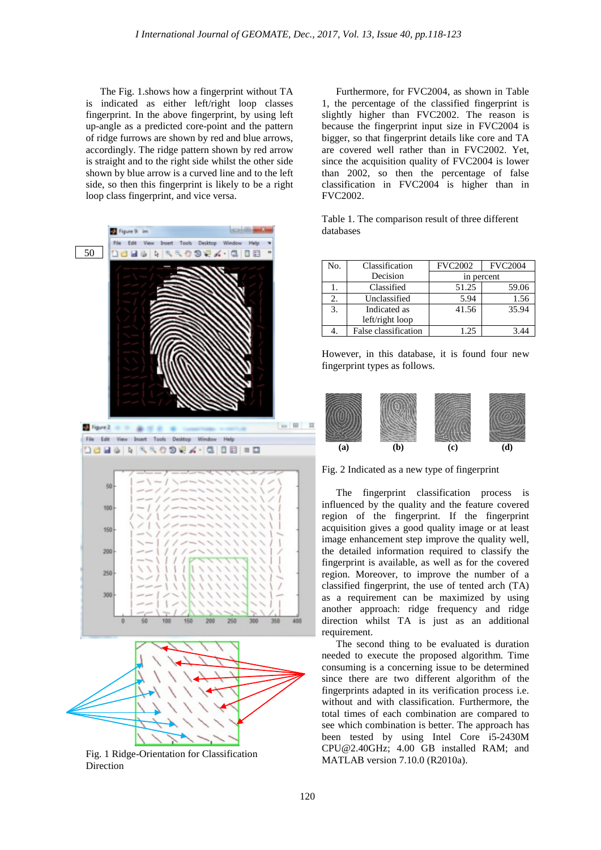The Fig. 1.shows how a fingerprint without TA is indicated as either left/right loop classes fingerprint. In the above fingerprint, by using left up-angle as a predicted core-point and the pattern of ridge furrows are shown by red and blue arrows, accordingly. The ridge pattern shown by red arrow is straight and to the right side whilst the other side shown by blue arrow is a curved line and to the left side, so then this fingerprint is likely to be a right loop class fingerprint, and vice versa.



Fig. 1 Ridge-Orientation for Classification Direction

Furthermore, for FVC2004, as shown in Table 1, the percentage of the classified fingerprint is slightly higher than FVC2002. The reason is because the fingerprint input size in FVC2004 is bigger, so that fingerprint details like core and TA are covered well rather than in FVC2002. Yet, since the acquisition quality of FVC2004 is lower than 2002, so then the percentage of false classification in FVC2004 is higher than in FVC2002.

|           | Table 1. The comparison result of three different |  |  |
|-----------|---------------------------------------------------|--|--|
| databases |                                                   |  |  |

| No. | Classification       | <b>FVC2002</b> | <b>FVC2004</b> |  |
|-----|----------------------|----------------|----------------|--|
|     | Decision             | in percent     |                |  |
|     | Classified           | 51.25          | 59.06          |  |
| 2.  | Unclassified         | 5.94           | 1.56           |  |
| 3.  | Indicated as         | 41.56          | 35.94          |  |
|     | left/right loop      |                |                |  |
|     | False classification | 1.25           |                |  |

However, in this database, it is found four new fingerprint types as follows.



Fig. 2 Indicated as a new type of fingerprint

The fingerprint classification process is influenced by the quality and the feature covered region of the fingerprint. If the fingerprint acquisition gives a good quality image or at least image enhancement step improve the quality well, the detailed information required to classify the fingerprint is available, as well as for the covered region. Moreover, to improve the number of a classified fingerprint, the use of tented arch (TA) as a requirement can be maximized by using another approach: ridge frequency and ridge direction whilst TA is just as an additional requirement.

The second thing to be evaluated is duration needed to execute the proposed algorithm. Time consuming is a concerning issue to be determined since there are two different algorithm of the fingerprints adapted in its verification process i.e. without and with classification. Furthermore, the total times of each combination are compared to see which combination is better. The approach has been tested by using Intel Core i5-2430M CPU@2.40GHz; 4.00 GB installed RAM; and MATLAB version 7.10.0 (R2010a).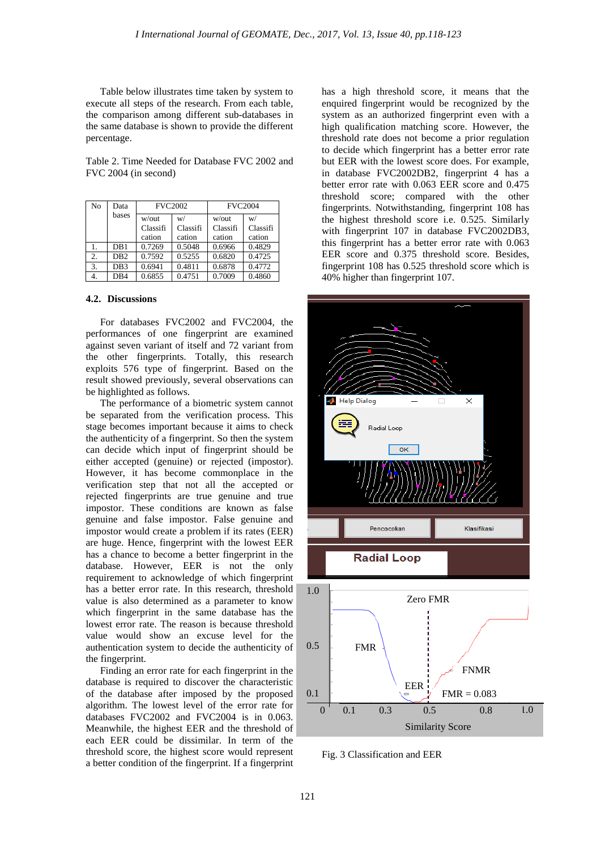Table below illustrates time taken by system to execute all steps of the research. From each table, the comparison among different sub-databases in the same database is shown to provide the different percentage.

Table 2. Time Needed for Database FVC 2002 and FVC 2004 (in second)

| No | Data            | <b>FVC2002</b> |          | <b>FVC2004</b> |          |
|----|-----------------|----------------|----------|----------------|----------|
|    | bases           | w/out          | w/       | w/out          | W/       |
|    |                 | Classifi       | Classifi | Classifi       | Classifi |
|    |                 | cation         | cation   | cation         | cation   |
|    | DB1             | 0.7269         | 0.5048   | 0.6966         | 0.4829   |
| 2. | D <sub>B2</sub> | 0.7592         | 0.5255   | 0.6820         | 0.4725   |
| 3. | DB <sub>3</sub> | 0.6941         | 0.4811   | 0.6878         | 0.4772   |
| 4. | D <sub>B4</sub> | 0.6855         | 0.4751   | 0.7009         | 0.4860   |

#### **4.2. Discussions**

For databases FVC2002 and FVC2004, the performances of one fingerprint are examined against seven variant of itself and 72 variant from the other fingerprints. Totally, this research exploits 576 type of fingerprint. Based on the result showed previously, several observations can be highlighted as follows.

The performance of a biometric system cannot be separated from the verification process. This stage becomes important because it aims to check the authenticity of a fingerprint. So then the system can decide which input of fingerprint should be either accepted (genuine) or rejected (impostor). However, it has become commonplace in the verification step that not all the accepted or rejected fingerprints are true genuine and true impostor. These conditions are known as false genuine and false impostor. False genuine and impostor would create a problem if its rates (EER) are huge. Hence, fingerprint with the lowest EER has a chance to become a better fingerprint in the database. However, EER is not the only requirement to acknowledge of which fingerprint has a better error rate. In this research, threshold value is also determined as a parameter to know which fingerprint in the same database has the lowest error rate. The reason is because threshold value would show an excuse level for the authentication system to decide the authenticity of the fingerprint.

Finding an error rate for each fingerprint in the database is required to discover the characteristic of the database after imposed by the proposed algorithm. The lowest level of the error rate for databases FVC2002 and FVC2004 is in 0.063. Meanwhile, the highest EER and the threshold of each EER could be dissimilar. In term of the threshold score, the highest score would represent a better condition of the fingerprint. If a fingerprint has a high threshold score, it means that the enquired fingerprint would be recognized by the system as an authorized fingerprint even with a high qualification matching score. However, the threshold rate does not become a prior regulation to decide which fingerprint has a better error rate but EER with the lowest score does. For example, in database FVC2002DB2, fingerprint 4 has a better error rate with 0.063 EER score and 0.475 threshold score; compared with the other fingerprints. Notwithstanding, fingerprint 108 has the highest threshold score i.e. 0.525. Similarly with fingerprint 107 in database FVC2002DB3, this fingerprint has a better error rate with 0.063 EER score and 0.375 threshold score. Besides, fingerprint 108 has 0.525 threshold score which is 40% higher than fingerprint 107.



Fig. 3 Classification and EER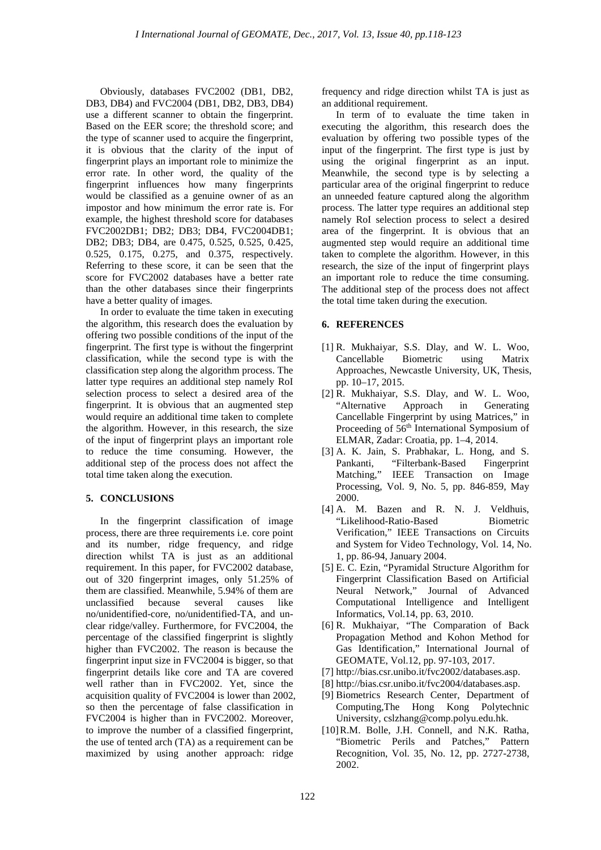Obviously, databases FVC2002 (DB1, DB2, DB3, DB4) and FVC2004 (DB1, DB2, DB3, DB4) use a different scanner to obtain the fingerprint. Based on the EER score; the threshold score; and the type of scanner used to acquire the fingerprint, it is obvious that the clarity of the input of fingerprint plays an important role to minimize the error rate. In other word, the quality of the fingerprint influences how many fingerprints would be classified as a genuine owner of as an impostor and how minimum the error rate is. For example, the highest threshold score for databases FVC2002DB1; DB2; DB3; DB4, FVC2004DB1; DB2; DB3; DB4, are 0.475, 0.525, 0.525, 0.425, 0.525, 0.175, 0.275, and 0.375, respectively. Referring to these score, it can be seen that the score for FVC2002 databases have a better rate than the other databases since their fingerprints have a better quality of images.

In order to evaluate the time taken in executing the algorithm, this research does the evaluation by offering two possible conditions of the input of the fingerprint. The first type is without the fingerprint classification, while the second type is with the classification step along the algorithm process. The latter type requires an additional step namely RoI selection process to select a desired area of the fingerprint. It is obvious that an augmented step would require an additional time taken to complete the algorithm. However, in this research, the size of the input of fingerprint plays an important role to reduce the time consuming. However, the additional step of the process does not affect the total time taken along the execution.

#### **5. CONCLUSIONS**

In the fingerprint classification of image process, there are three requirements i.e. core point and its number, ridge frequency, and ridge direction whilst TA is just as an additional requirement. In this paper, for FVC2002 database, out of 320 fingerprint images, only 51.25% of them are classified. Meanwhile, 5.94% of them are unclassified because several causes like no/unidentified-core, no/unidentified-TA, and unclear ridge/valley. Furthermore, for FVC2004, the percentage of the classified fingerprint is slightly higher than FVC2002. The reason is because the fingerprint input size in FVC2004 is bigger, so that fingerprint details like core and TA are covered well rather than in FVC2002. Yet, since the acquisition quality of FVC2004 is lower than 2002, so then the percentage of false classification in FVC2004 is higher than in FVC2002. Moreover, to improve the number of a classified fingerprint, the use of tented arch (TA) as a requirement can be maximized by using another approach: ridge

frequency and ridge direction whilst TA is just as an additional requirement.

In term of to evaluate the time taken in executing the algorithm, this research does the evaluation by offering two possible types of the input of the fingerprint. The first type is just by using the original fingerprint as an input. Meanwhile, the second type is by selecting a particular area of the original fingerprint to reduce an unneeded feature captured along the algorithm process. The latter type requires an additional step namely RoI selection process to select a desired area of the fingerprint. It is obvious that an augmented step would require an additional time taken to complete the algorithm. However, in this research, the size of the input of fingerprint plays an important role to reduce the time consuming. The additional step of the process does not affect the total time taken during the execution.

#### **6. REFERENCES**

- [1] R. Mukhaiyar, S.S. Dlay, and W. L. Woo, Cancellable Biometric using Matrix Approaches, Newcastle University, UK, Thesis, pp. 10–17, 2015.
- [2] R. Mukhaiyar, S.S. Dlay, and W. L. Woo, "Alternative Approach in Generating Cancellable Fingerprint by using Matrices," in Proceeding of 56<sup>th</sup> International Symposium of ELMAR, Zadar: Croatia, pp. 1–4, 2014.
- [3] A. K. Jain, S. Prabhakar, L. Hong, and S. Pankanti, "Filterbank-Based Fingerprint Matching," IEEE Transaction on Image Processing, Vol. 9, No. 5, pp. 846-859, May 2000.
- [4] A. M. Bazen and R. N. J. Veldhuis, "Likelihood-Ratio-Based Biometric Verification," IEEE Transactions on Circuits and System for Video Technology, Vol. 14, No. 1, pp. 86-94, January 2004.
- [5] E. C. Ezin, "Pyramidal Structure Algorithm for Fingerprint Classification Based on Artificial Neural Network," Journal of Advanced Computational Intelligence and Intelligent Informatics, Vol.14, pp. 63, 2010.
- [6] R. Mukhaiyar, "The Comparation of Back Propagation Method and Kohon Method for Gas Identification," International Journal of GEOMATE, Vol.12, pp. 97-103, 2017.
- [7] [http://bias.csr.unibo.it/fvc2002/databases.asp.](http://bias.csr.unibo.it/fvc2002/databases.asp)
- [8] [http://bias.csr.unibo.it/fvc2004/databases.asp.](http://bias.csr.unibo.it/fvc2004/databases.asp)
- [9] Biometrics Research Center, Department of Computin[g,The Hong Kong Polytechnic](http://mla.sdu.edu.cn/www.comp.polyu.edu.hk/%7Ebiometrics)  [University,](http://mla.sdu.edu.cn/www.comp.polyu.edu.hk/%7Ebiometrics) [cslzhang@comp.polyu.edu.hk.](mailto:cslzhang@comp.polyu.edu.hk)
- [10]R.M. Bolle, J.H. Connell, and N.K. Ratha, "Biometric Perils and Patches," Pattern Recognition, Vol. 35, No. 12, pp. 2727-2738, 2002.